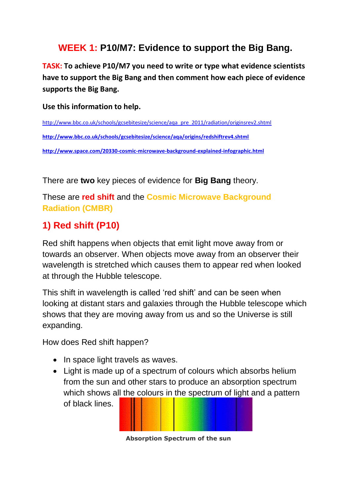## **WEEK 1: P10/M7: Evidence to support the Big Bang.**

**TASK: To achieve P10/M7 you need to write or type what evidence scientists have to support the Big Bang and then comment how each piece of evidence supports the Big Bang.**

**Use this information to help.**

[http://www.bbc.co.uk/schools/gcsebitesize/science/aqa\\_pre\\_2011/radiation/originsrev2.shtml](http://www.bbc.co.uk/schools/gcsebitesize/science/aqa_pre_2011/radiation/originsrev2.shtml) **<http://www.bbc.co.uk/schools/gcsebitesize/science/aqa/origins/redshiftrev4.shtml> <http://www.space.com/20330-cosmic-microwave-background-explained-infographic.html>**

There are **two** key pieces of evidence for **Big Bang** theory.

These are **red shift** and the **Cosmic Microwave Background Radiation (CMBR)**

# **1) Red shift (P10)**

Red shift happens when objects that emit light move away from or towards an observer. When objects move away from an observer their wavelength is stretched which causes them to appear red when looked at through the Hubble telescope.

This shift in wavelength is called 'red shift' and can be seen when looking at distant stars and galaxies through the Hubble telescope which shows that they are moving away from us and so the Universe is still expanding.

How does Red shift happen?

- In space light travels as waves.
- Light is made up of a spectrum of colours which absorbs helium from the sun and other stars to produce an absorption spectrum which shows all the colours in the spectrum of light and a pattern of black lines.

**Absorption Spectrum of the sun**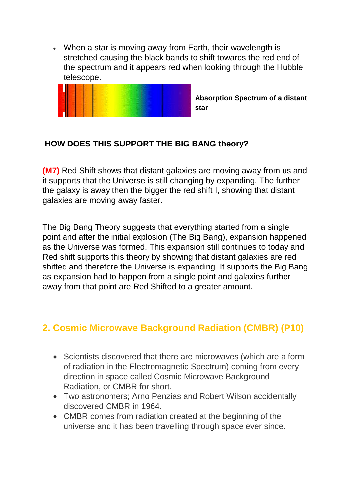When a star is moving away from Earth, their wavelength is stretched causing the black bands to shift towards the red end of the spectrum and it appears red when looking through the Hubble telescope.



**Absorption Spectrum of a distant star**

### **HOW DOES THIS SUPPORT THE BIG BANG theory?**

**(M7)** Red Shift shows that distant galaxies are moving away from us and it supports that the Universe is still changing by expanding. The further the galaxy is away then the bigger the red shift I, showing that distant galaxies are moving away faster.

The Big Bang Theory suggests that everything started from a single point and after the initial explosion (The Big Bang), expansion happened as the Universe was formed. This expansion still continues to today and Red shift supports this theory by showing that distant galaxies are red shifted and therefore the Universe is expanding. It supports the Big Bang as expansion had to happen from a single point and galaxies further away from that point are Red Shifted to a greater amount.

# **2. Cosmic Microwave Background Radiation (CMBR) (P10)**

- Scientists discovered that there are microwaves (which are a form of radiation in the Electromagnetic Spectrum) coming from every direction in space called Cosmic Microwave Background Radiation, or CMBR for short.
- Two astronomers; Arno Penzias and Robert Wilson accidentally discovered CMBR in 1964.
- CMBR comes from radiation created at the beginning of the universe and it has been travelling through space ever since.